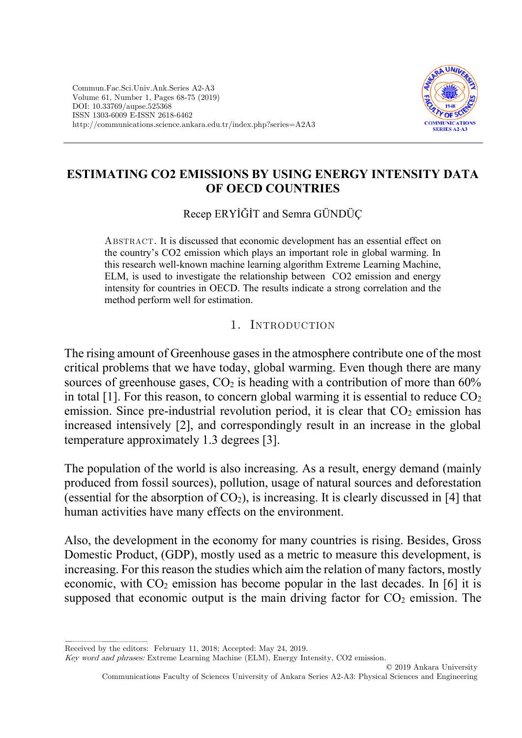

## **ESTIMATING CO2 EMISSIONS BY USING ENERGY INTENSITY DATA OF OECD COUNTRIES**

Recep ERYİĞİT and Semra GÜNDÜÇ

Abstract. It is discussed that economic development has an essential effect on the country's CO2 emission which plays an important role in global warming. In this research well-known machine learning algorithm Extreme Learning Machine, ELM, is used to investigate the relationship between CO2 emission and energy intensity for countries in OECD. The results indicate a strong correlation and the method perform well for estimation.

1. INTRODUCTION

The rising amount of Greenhouse gases in the atmosphere contribute one of the most critical problems that we have today, global warming. Even though there are many sources of greenhouse gases,  $CO<sub>2</sub>$  is heading with a contribution of more than 60% in total [1]. For this reason, to concern global warming it is essential to reduce  $CO<sub>2</sub>$ emission. Since pre-industrial revolution period, it is clear that  $CO<sub>2</sub>$  emission has increased intensively [2], and correspondingly result in an increase in the global temperature approximately 1.3 degrees [3].

The population of the world is also increasing. As a result, energy demand (mainly produced from fossil sources), pollution, usage of natural sources and deforestation (essential for the absorption of  $CO<sub>2</sub>$ ), is increasing. It is clearly discussed in [4] that human activities have many effects on the environment.

Also, the development in the economy for many countries is rising. Besides, Gross Domestic Product, (GDP), mostly used as a metric to measure this development, is increasing. For this reason the studies which aim the relation of many factors, mostly economic, with  $CO<sub>2</sub>$  emission has become popular in the last decades. In [6] it is supposed that economic output is the main driving factor for  $CO<sub>2</sub>$  emission. The

Received by the editors: February 11, 2018; Accepted: May 24, 2019.

Key word and phrases: Extreme Learning Machine (ELM), Energy Intensity, CO2 emission.

© 2019 Ankara University Communications Faculty of Sciences University of Ankara Series A2-A3: Physical Sciences and Engineering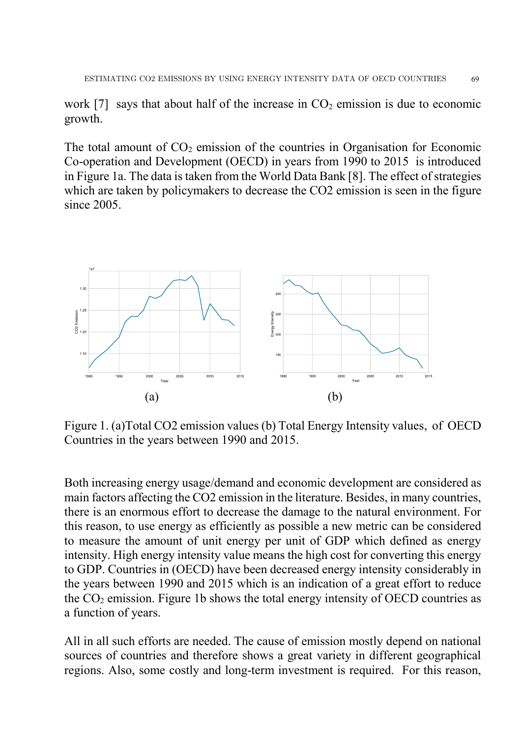work [7] says that about half of the increase in  $CO<sub>2</sub>$  emission is due to economic growth.

The total amount of  $CO<sub>2</sub>$  emission of the countries in Organisation for Economic Co-operation and Development (OECD) in years from 1990 to 2015 is introduced in Figure 1a. The data is taken from the World Data Bank [8]. The effect of strategies which are taken by policymakers to decrease the CO2 emission is seen in the figure since 2005.



Figure 1. (a)Total CO2 emission values (b) Total Energy Intensity values, of OECD Countries in the years between 1990 and 2015.

Both increasing energy usage/demand and economic development are considered as main factors affecting the CO2 emission in the literature. Besides, in many countries, there is an enormous effort to decrease the damage to the natural environment. For this reason, to use energy as efficiently as possible a new metric can be considered to measure the amount of unit energy per unit of GDP which defined as energy intensity. High energy intensity value means the high cost for converting this energy to GDP. Countries in (OECD) have been decreased energy intensity considerably in the years between 1990 and 2015 which is an indication of a great effort to reduce the  $CO<sub>2</sub>$  emission. Figure 1b shows the total energy intensity of OECD countries as a function of years.

All in all such efforts are needed. The cause of emission mostly depend on national sources of countries and therefore shows a great variety in different geographical regions. Also, some costly and long-term investment is required. For this reason,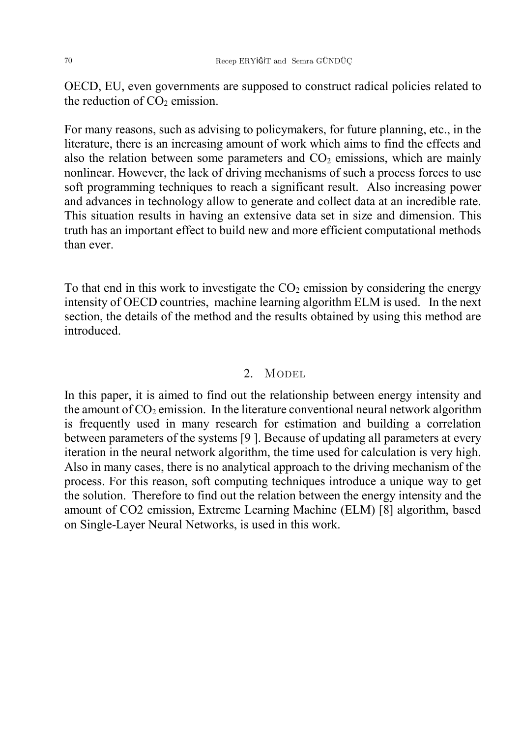OECD, EU, even governments are supposed to construct radical policies related to the reduction of  $CO<sub>2</sub>$  emission.

For many reasons, such as advising to policymakers, for future planning, etc., in the literature, there is an increasing amount of work which aims to find the effects and also the relation between some parameters and  $CO<sub>2</sub>$  emissions, which are mainly nonlinear. However, the lack of driving mechanisms of such a process forces to use soft programming techniques to reach a significant result. Also increasing power and advances in technology allow to generate and collect data at an incredible rate. This situation results in having an extensive data set in size and dimension. This truth has an important effect to build new and more efficient computational methods than ever.

To that end in this work to investigate the  $CO<sub>2</sub>$  emission by considering the energy intensity of OECD countries, machine learning algorithm ELM is used. In the next section, the details of the method and the results obtained by using this method are introduced.

## 2. MODEL

In this paper, it is aimed to find out the relationship between energy intensity and the amount of  $CO<sub>2</sub>$  emission. In the literature conventional neural network algorithm is frequently used in many research for estimation and building a correlation between parameters of the systems [9 ]. Because of updating all parameters at every iteration in the neural network algorithm, the time used for calculation is very high. Also in many cases, there is no analytical approach to the driving mechanism of the process. For this reason, soft computing techniques introduce a unique way to get the solution. Therefore to find out the relation between the energy intensity and the amount of CO2 emission, Extreme Learning Machine (ELM) [8] algorithm, based on Single-Layer Neural Networks, is used in this work.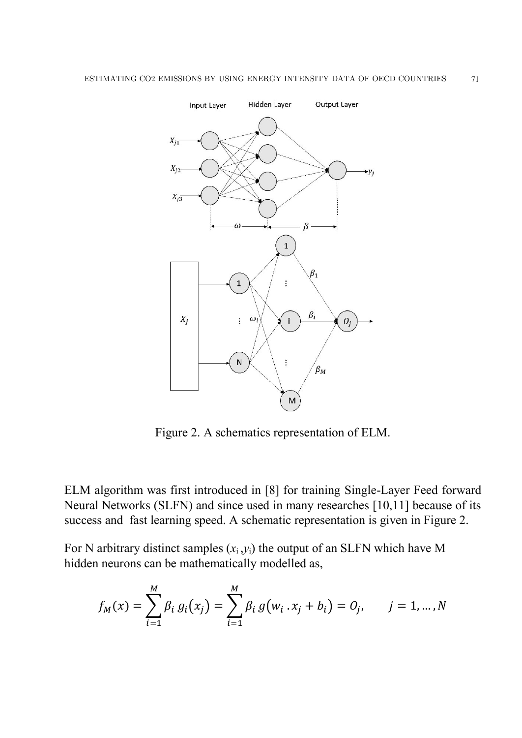

Figure 2. A schematics representation of ELM.

ELM algorithm was first introduced in [8] for training Single-Layer Feed forward Neural Networks (SLFN) and since used in many researches [10,11] because of its success and fast learning speed. A schematic representation is given in Figure 2.

For N arbitrary distinct samples  $(x_i, y_i)$  the output of an SLFN which have M hidden neurons can be mathematically modelled as,

$$
f_M(x) = \sum_{i=1}^M \beta_i g_i(x_j) = \sum_{i=1}^M \beta_i g(w_i \cdot x_j + b_i) = 0_j, \qquad j = 1, \dots, N
$$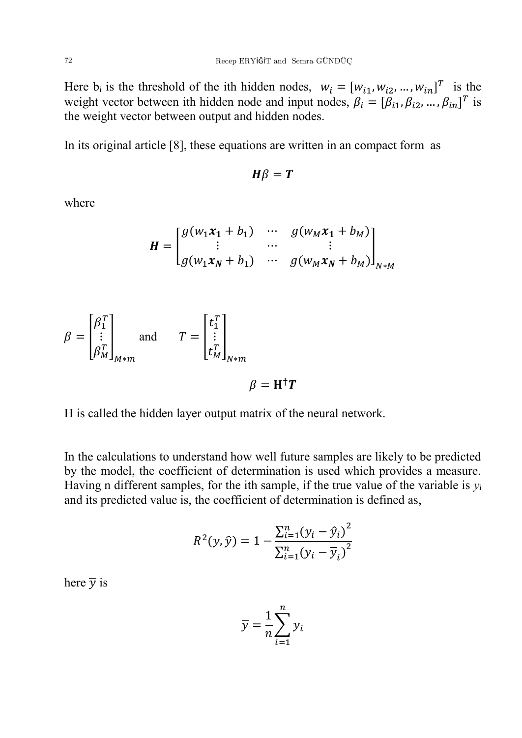Here  $b_i$  is the threshold of the ith hidden nodes,  $w_i = [w_{i1}, w_{i2}, ..., w_{in}]^T$  is the weight vector between ith hidden node and input nodes,  $\beta_i = [\beta_{i1}, \beta_{i2}, ..., \beta_{in}]^T$  is the weight vector between output and hidden nodes.

In its original article [8], these equations are written in an compact form as

$$
H\beta = T
$$

where

$$
H = \begin{bmatrix} g(w_1x_1 + b_1) & \cdots & g(w_Mx_1 + b_M) \\ \vdots & \cdots & \vdots \\ g(w_1x_N + b_1) & \cdots & g(w_Mx_N + b_M) \end{bmatrix}_{N*M}
$$

$$
\beta = \begin{bmatrix} \beta_1^T \\ \vdots \\ \beta_M^T \end{bmatrix}_{M*m} \quad \text{and} \quad T = \begin{bmatrix} t_1^T \\ \vdots \\ t_M^T \end{bmatrix}_{N*m} \quad \beta = \mathbf{H}^\dagger \mathbf{T}
$$

H is called the hidden layer output matrix of the neural network.

In the calculations to understand how well future samples are likely to be predicted by the model, the coefficient of determination is used which provides a measure. Having n different samples, for the ith sample, if the true value of the variable is *y*<sup>i</sup> and its predicted value is, the coefficient of determination is defined as,

$$
R^{2}(y, \hat{y}) = 1 - \frac{\sum_{i=1}^{n} (y_{i} - \hat{y}_{i})^{2}}{\sum_{i=1}^{n} (y_{i} - \overline{y}_{i})^{2}}
$$

here  $\overline{y}$  is

$$
\overline{y} = \frac{1}{n} \sum_{i=1}^{n} y_i
$$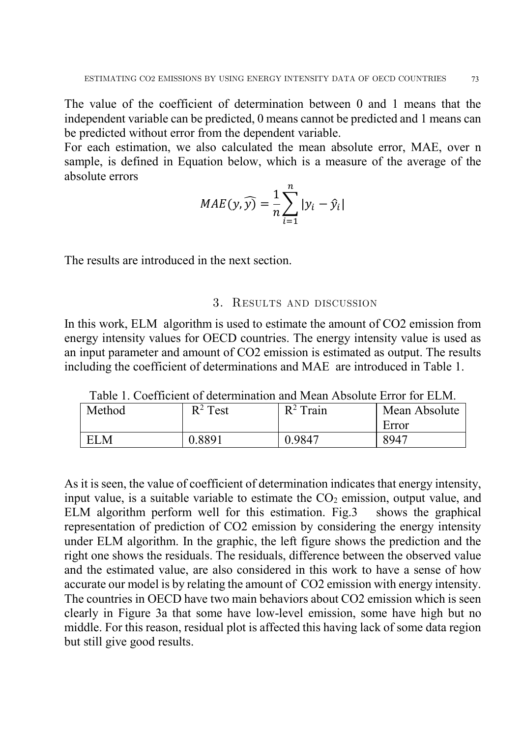The value of the coefficient of determination between 0 and 1 means that the independent variable can be predicted, 0 means cannot be predicted and 1 means can be predicted without error from the dependent variable.

For each estimation, we also calculated the mean absolute error, MAE, over n sample, is defined in Equation below, which is a measure of the average of the absolute errors

$$
MAE(y, \widehat{y}) = \frac{1}{n} \sum_{i=1}^{n} |y_i - \widehat{y}_i|
$$

The results are introduced in the next section.

## 3. Results and discussion

In this work, ELM algorithm is used to estimate the amount of CO2 emission from energy intensity values for OECD countries. The energy intensity value is used as an input parameter and amount of CO2 emission is estimated as output. The results including the coefficient of determinations and MAE are introduced in Table 1.

| Method | $R^2$ Test | $R^2$ Train | Mean Absolute |
|--------|------------|-------------|---------------|
|        |            |             | Error         |
| N.     | ) 8891     | 0.9847      | 8947          |

Table 1. Coefficient of determination and Mean Absolute Error for ELM.

As it is seen, the value of coefficient of determination indicates that energy intensity, input value, is a suitable variable to estimate the  $CO<sub>2</sub>$  emission, output value, and ELM algorithm perform well for this estimation. Fig.3 shows the graphical representation of prediction of CO2 emission by considering the energy intensity under ELM algorithm. In the graphic, the left figure shows the prediction and the right one shows the residuals. The residuals, difference between the observed value and the estimated value, are also considered in this work to have a sense of how accurate our model is by relating the amount of CO2 emission with energy intensity. The countries in OECD have two main behaviors about CO2 emission which is seen clearly in Figure 3a that some have low-level emission, some have high but no middle. For this reason, residual plot is affected this having lack of some data region but still give good results.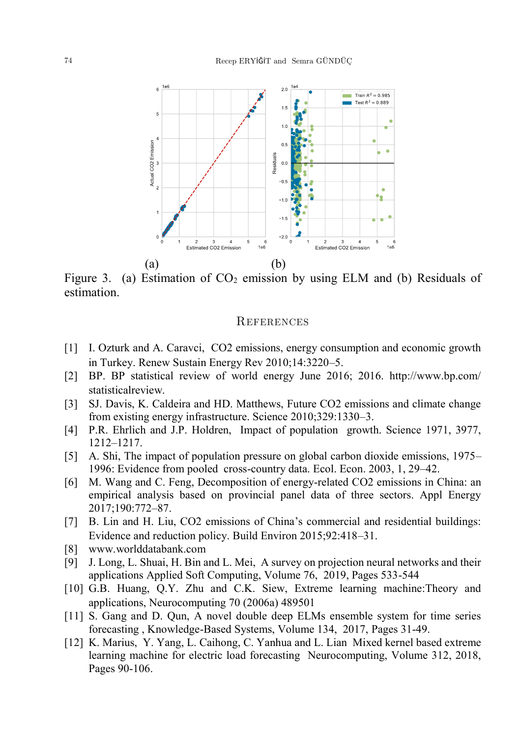

Figure 3. (a) Estimation of  $CO<sub>2</sub>$  emission by using ELM and (b) Residuals of estimation.

## **REFERENCES**

- [1] I. Ozturk and A. Caravci, CO2 emissions, energy consumption and economic growth in Turkey. Renew Sustain Energy Rev 2010;14:3220–5.
- [2] BP. BP statistical review of world energy June 2016; 2016. http://www.bp.com/ statisticalreview.
- [3] SJ. Davis, K. Caldeira and HD. Matthews, Future CO2 emissions and climate change from existing energy infrastructure. Science 2010;329:1330–3.
- [4] P.R. Ehrlich and J.P. Holdren, Impact of population growth. Science 1971, 3977, 1212–1217.
- [5] A. Shi, The impact of population pressure on global carbon dioxide emissions, 1975– 1996: Evidence from pooled cross-country data. Ecol. Econ. 2003, 1, 29–42.
- [6] M. Wang and C. Feng, Decomposition of energy-related CO2 emissions in China: an empirical analysis based on provincial panel data of three sectors. Appl Energy 2017;190:772–87.
- [7] B. Lin and H. Liu, CO2 emissions of China's commercial and residential buildings: Evidence and reduction policy. Build Environ 2015;92:418–31.
- [8] www.worlddatabank.com
- [9] J. Long, L. Shuai, H. Bin and L. Mei, A survey on projection neural networks and their applications Applied Soft Computing, Volume 76, 2019, Pages 533-544
- [10] G.B. Huang, Q.Y. Zhu and C.K. Siew, Extreme learning machine:Theory and applications, Neurocomputing 70 (2006a) 489501
- [11] S. Gang and D. Qun, A novel double deep ELMs ensemble system for time series forecasting , Knowledge-Based Systems, Volume 134, 2017, Pages 31-49.
- [12] K. Marius, Y. Yang, L. Caihong, C. Yanhua and L. Lian Mixed kernel based extreme learning machine for electric load forecasting Neurocomputing, Volume 312, 2018, Pages 90-106.